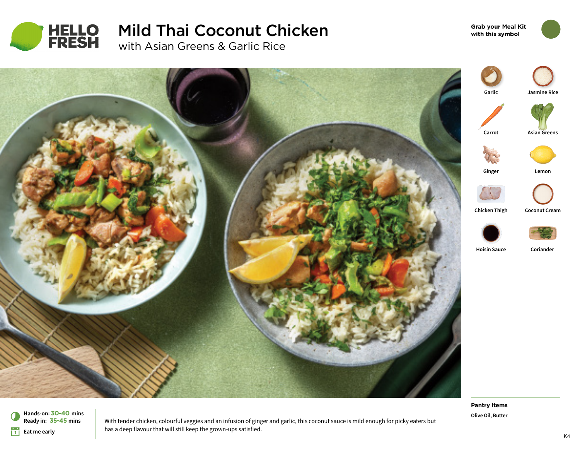

# Mild Thai Coconut Chicken with Asian Greens & Garlic Rice

**Grab your Meal Kit with this symbol**



**Pantry items Olive Oil, Butter**

With tender chicken, colourful veggies and an infusion of ginger and garlic, this coconut sauce is mild enough for picky eaters but has a deep flavour that will still keep the grown-ups satisfied.